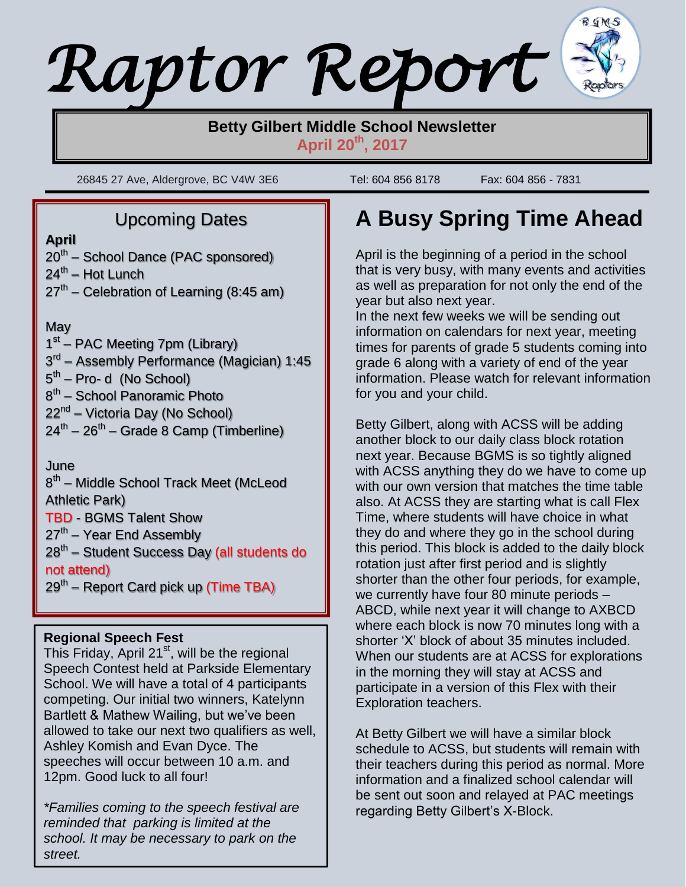# *Raptor Report*

## **Betty Gilbert Middle School Newsletter April 20th , 2017**

26845 27 Ave, Aldergrove, BC V4W 3E6 Tel: 604 856 8178 Fax: 604 856 - 7831

## Upcoming Dates

#### **April**

 $\lfloor$ 

- 20<sup>th</sup> School Dance (PAC sponsored)
- 24<sup>th</sup> Hot Lunch
- 27<sup>th</sup> Celebration of Learning (8:45 am)

## **May**

1<sup>st</sup> – PAC Meeting 7pm (Library) 3<sup>rd</sup> – Assembly Performance (Magician) 1:45 5<sup>th</sup> – Pro- d (No School) 8<sup>th</sup> – School Panoramic Photo 22<sup>nd</sup> – Victoria Day (No School) 24<sup>th</sup> – 26<sup>th</sup> – Grade 8 Camp (Timberline)

June

8<sup>th</sup> – Middle School Track Meet (McLeod Athletic Park) TBD - BGMS Talent Show 27<sup>th</sup> – Year End Assembly

28<sup>th</sup> – Student Success Day (all students do not attend)

29<sup>th</sup> – Report Card pick up (Time TBA)

## **Regional Speech Fest**

This Friday, April 21<sup>st</sup>, will be the regional Speech Contest held at Parkside Elementary School. We will have a total of 4 participants competing. Our initial two winners, Katelynn Bartlett & Mathew Wailing, but we've been allowed to take our next two qualifiers as well, Ashley Komish and Evan Dyce. The speeches will occur between 10 a.m. and 12pm. Good luck to all four!

*\*Families coming to the speech festival are reminded that parking is limited at the school. It may be necessary to park on the street.*

# **A Busy Spring Time Ahead**

April is the beginning of a period in the school that is very busy, with many events and activities as well as preparation for not only the end of the year but also next year.

In the next few weeks we will be sending out information on calendars for next year, meeting times for parents of grade 5 students coming into grade 6 along with a variety of end of the year information. Please watch for relevant information for you and your child.

Betty Gilbert, along with ACSS will be adding another block to our daily class block rotation next year. Because BGMS is so tightly aligned with ACSS anything they do we have to come up with our own version that matches the time table also. At ACSS they are starting what is call Flex Time, where students will have choice in what they do and where they go in the school during this period. This block is added to the daily block rotation just after first period and is slightly shorter than the other four periods, for example, we currently have four 80 minute periods – ABCD, while next year it will change to AXBCD where each block is now 70 minutes long with a shorter 'X' block of about 35 minutes included. When our students are at ACSS for explorations in the morning they will stay at ACSS and participate in a version of this Flex with their Exploration teachers.

At Betty Gilbert we will have a similar block schedule to ACSS, but students will remain with their teachers during this period as normal. More information and a finalized school calendar will be sent out soon and relayed at PAC meetings regarding Betty Gilbert's X-Block.